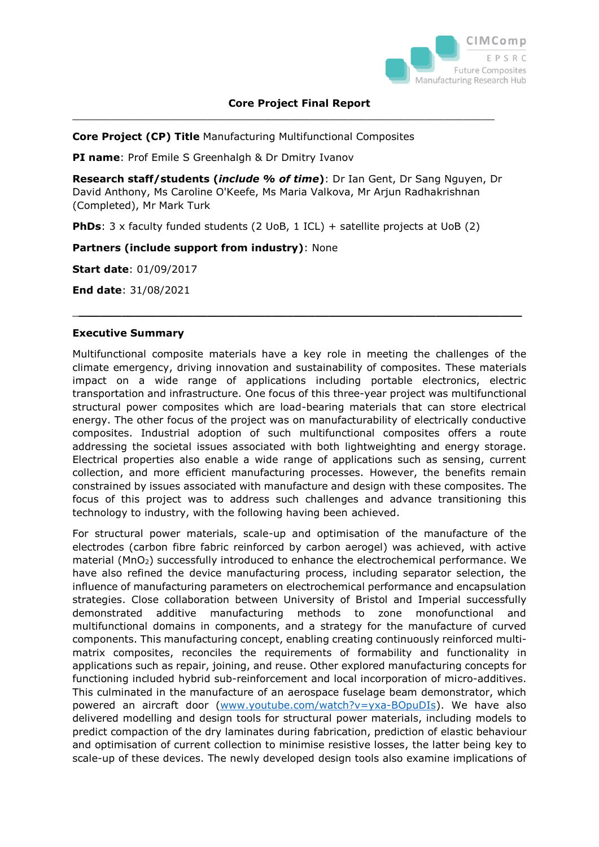

 $\_$  , and the set of the set of the set of the set of the set of the set of the set of the set of the set of the set of the set of the set of the set of the set of the set of the set of the set of the set of the set of th

**Core Project (CP) Title** Manufacturing Multifunctional Composites

**PI name**: Prof Emile S Greenhalgh & Dr Dmitry Ivanov

**Research staff/students (***include % of time***)**: Dr Ian Gent, Dr Sang Nguyen, Dr David Anthony, Ms Caroline O'Keefe, Ms Maria Valkova, Mr Arjun Radhakrishnan (Completed), Mr Mark Turk

**PhDs**: 3 x faculty funded students (2 UoB, 1 ICL) + satellite projects at UoB (2)

# **Partners (include support from industry)**: None

**Start date**: 01/09/2017

**End date**: 31/08/2021

# **Executive Summary**

Multifunctional composite materials have a key role in meeting the challenges of the climate emergency, driving innovation and sustainability of composites. These materials impact on a wide range of applications including portable electronics, electric transportation and infrastructure. One focus of this three-year project was multifunctional structural power composites which are load-bearing materials that can store electrical energy. The other focus of the project was on manufacturability of electrically conductive composites. Industrial adoption of such multifunctional composites offers a route addressing the societal issues associated with both lightweighting and energy storage. Electrical properties also enable a wide range of applications such as sensing, current collection, and more efficient manufacturing processes. However, the benefits remain constrained by issues associated with manufacture and design with these composites. The focus of this project was to address such challenges and advance transitioning this technology to industry, with the following having been achieved.

\_**\_\_\_\_\_\_\_\_\_\_\_\_\_\_\_\_\_\_\_\_\_\_\_\_\_\_\_\_\_\_\_\_\_\_\_\_\_\_\_\_\_\_\_\_\_\_\_\_\_\_\_\_\_\_\_\_\_\_\_\_\_\_**

For structural power materials, scale-up and optimisation of the manufacture of the electrodes (carbon fibre fabric reinforced by carbon aerogel) was achieved, with active material (MnO<sub>2</sub>) successfully introduced to enhance the electrochemical performance. We have also refined the device manufacturing process, including separator selection, the influence of manufacturing parameters on electrochemical performance and encapsulation strategies. Close collaboration between University of Bristol and Imperial successfully demonstrated additive manufacturing methods to zone monofunctional and multifunctional domains in components, and a strategy for the manufacture of curved components. This manufacturing concept, enabling creating continuously reinforced multimatrix composites, reconciles the requirements of formability and functionality in applications such as repair, joining, and reuse. Other explored manufacturing concepts for functioning included hybrid sub-reinforcement and local incorporation of micro-additives. This culminated in the manufacture of an aerospace fuselage beam demonstrator, which powered an aircraft door [\(www.youtube.com/watch?v=yxa-BOpuDIs\)](http://www.youtube.com/watch?v=yxa-BOpuDIs). We have also delivered modelling and design tools for structural power materials, including models to predict compaction of the dry laminates during fabrication, prediction of elastic behaviour and optimisation of current collection to minimise resistive losses, the latter being key to scale-up of these devices. The newly developed design tools also examine implications of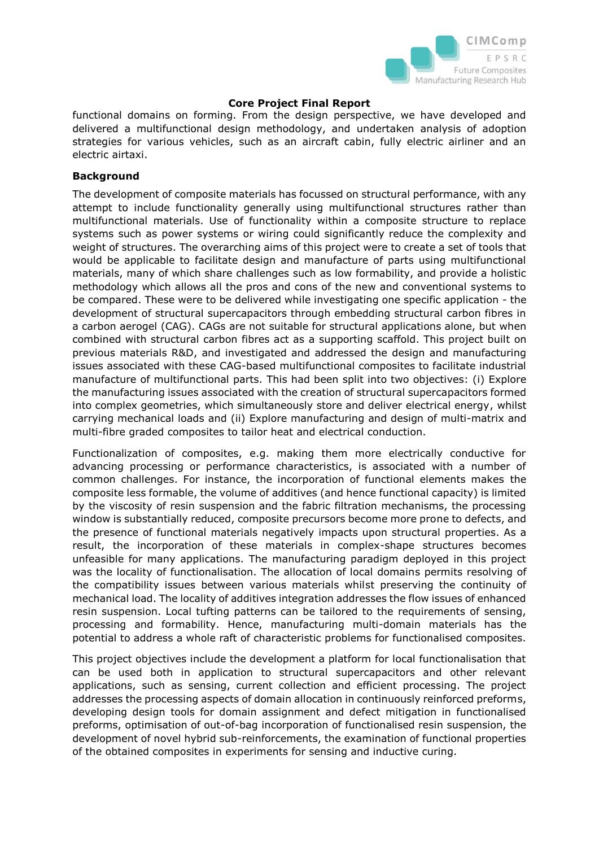

functional domains on forming. From the design perspective, we have developed and delivered a multifunctional design methodology, and undertaken analysis of adoption strategies for various vehicles, such as an aircraft cabin, fully electric airliner and an electric airtaxi.

## **Background**

The development of composite materials has focussed on structural performance, with any attempt to include functionality generally using multifunctional structures rather than multifunctional materials. Use of functionality within a composite structure to replace systems such as power systems or wiring could significantly reduce the complexity and weight of structures. The overarching aims of this project were to create a set of tools that would be applicable to facilitate design and manufacture of parts using multifunctional materials, many of which share challenges such as low formability, and provide a holistic methodology which allows all the pros and cons of the new and conventional systems to be compared. These were to be delivered while investigating one specific application - the development of structural supercapacitors through embedding structural carbon fibres in a carbon aerogel (CAG). CAGs are not suitable for structural applications alone, but when combined with structural carbon fibres act as a supporting scaffold. This project built on previous materials R&D, and investigated and addressed the design and manufacturing issues associated with these CAG-based multifunctional composites to facilitate industrial manufacture of multifunctional parts. This had been split into two objectives: (i) Explore the manufacturing issues associated with the creation of structural supercapacitors formed into complex geometries, which simultaneously store and deliver electrical energy, whilst carrying mechanical loads and (ii) Explore manufacturing and design of multi-matrix and multi-fibre graded composites to tailor heat and electrical conduction.

Functionalization of composites, e.g. making them more electrically conductive for advancing processing or performance characteristics, is associated with a number of common challenges. For instance, the incorporation of functional elements makes the composite less formable, the volume of additives (and hence functional capacity) is limited by the viscosity of resin suspension and the fabric filtration mechanisms, the processing window is substantially reduced, composite precursors become more prone to defects, and the presence of functional materials negatively impacts upon structural properties. As a result, the incorporation of these materials in complex-shape structures becomes unfeasible for many applications. The manufacturing paradigm deployed in this project was the locality of functionalisation. The allocation of local domains permits resolving of the compatibility issues between various materials whilst preserving the continuity of mechanical load. The locality of additives integration addresses the flow issues of enhanced resin suspension. Local tufting patterns can be tailored to the requirements of sensing, processing and formability. Hence, manufacturing multi-domain materials has the potential to address a whole raft of characteristic problems for functionalised composites.

This project objectives include the development a platform for local functionalisation that can be used both in application to structural supercapacitors and other relevant applications, such as sensing, current collection and efficient processing. The project addresses the processing aspects of domain allocation in continuously reinforced preforms, developing design tools for domain assignment and defect mitigation in functionalised preforms, optimisation of out-of-bag incorporation of functionalised resin suspension, the development of novel hybrid sub-reinforcements, the examination of functional properties of the obtained composites in experiments for sensing and inductive curing.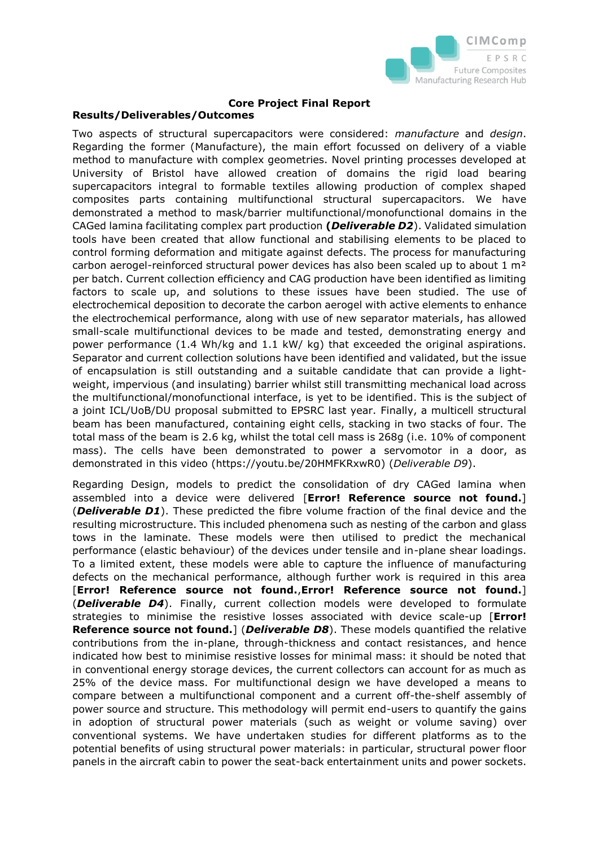

# **Results/Deliverables/Outcomes**

Two aspects of structural supercapacitors were considered: *manufacture* and *design*. Regarding the former (Manufacture), the main effort focussed on delivery of a viable method to manufacture with complex geometries. Novel printing processes developed at University of Bristol have allowed creation of domains the rigid load bearing supercapacitors integral to formable textiles allowing production of complex shaped composites parts containing multifunctional structural supercapacitors. We have demonstrated a method to mask/barrier multifunctional/monofunctional domains in the CAGed lamina facilitating complex part production **(***Deliverable D2*). Validated simulation tools have been created that allow functional and stabilising elements to be placed to control forming deformation and mitigate against defects. The process for manufacturing carbon aerogel-reinforced structural power devices has also been scaled up to about  $1 \text{ m}^2$ per batch. Current collection efficiency and CAG production have been identified as limiting factors to scale up, and solutions to these issues have been studied. The use of electrochemical deposition to decorate the carbon aerogel with active elements to enhance the electrochemical performance, along with use of new separator materials, has allowed small-scale multifunctional devices to be made and tested, demonstrating energy and power performance (1.4 Wh/kg and 1.1 kW/ kg) that exceeded the original aspirations. Separator and current collection solutions have been identified and validated, but the issue of encapsulation is still outstanding and a suitable candidate that can provide a lightweight, impervious (and insulating) barrier whilst still transmitting mechanical load across the multifunctional/monofunctional interface, is yet to be identified. This is the subject of a joint ICL/UoB/DU proposal submitted to EPSRC last year. Finally, a multicell structural beam has been manufactured, containing eight cells, stacking in two stacks of four. The total mass of the beam is 2.6 kg, whilst the total cell mass is 268g (i.e. 10% of component mass). The cells have been demonstrated to power a servomotor in a door, as demonstrated in this video [\(https://youtu.be/20HMFKRxwR0\)](https://youtu.be/20HMFKRxwR0) (*Deliverable D9*).

Regarding Design, models to predict the consolidation of dry CAGed lamina when assembled into a device were delivered [**Error! Reference source not found.**] (*Deliverable D1*). These predicted the fibre volume fraction of the final device and the resulting microstructure. This included phenomena such as nesting of the carbon and glass tows in the laminate. These models were then utilised to predict the mechanical performance (elastic behaviour) of the devices under tensile and in-plane shear loadings. To a limited extent, these models were able to capture the influence of manufacturing defects on the mechanical performance, although further work is required in this area [**Error! Reference source not found.**,**Error! Reference source not found.**] (*Deliverable D4*). Finally, current collection models were developed to formulate strategies to minimise the resistive losses associated with device scale-up [**Error! Reference source not found.**] (*Deliverable D8*). These models quantified the relative contributions from the in-plane, through-thickness and contact resistances, and hence indicated how best to minimise resistive losses for minimal mass: it should be noted that in conventional energy storage devices, the current collectors can account for as much as 25% of the device mass. For multifunctional design we have developed a means to compare between a multifunctional component and a current off-the-shelf assembly of power source and structure. This methodology will permit end-users to quantify the gains in adoption of structural power materials (such as weight or volume saving) over conventional systems. We have undertaken studies for different platforms as to the potential benefits of using structural power materials: in particular, structural power floor panels in the aircraft cabin to power the seat-back entertainment units and power sockets.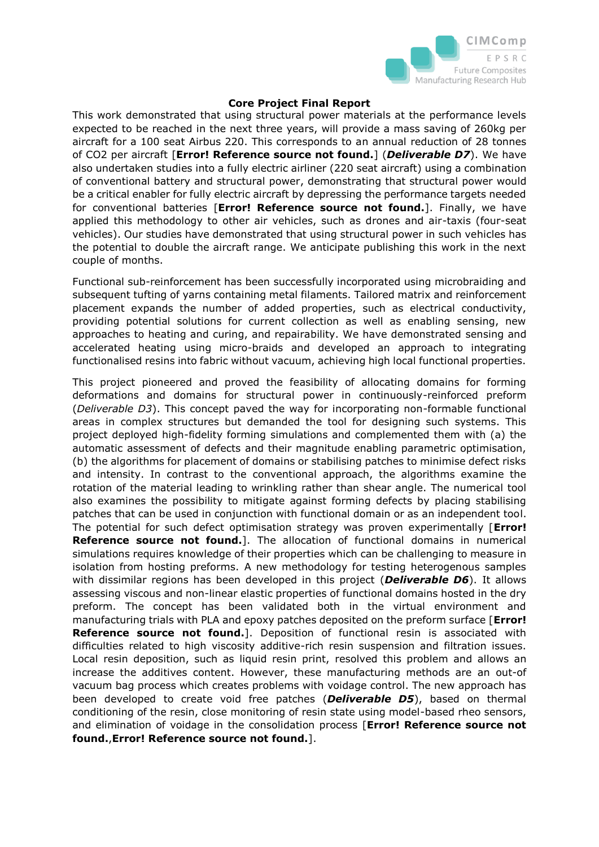

This work demonstrated that using structural power materials at the performance levels expected to be reached in the next three years, will provide a mass saving of 260kg per aircraft for a 100 seat Airbus 220. This corresponds to an annual reduction of 28 tonnes of CO2 per aircraft [**Error! Reference source not found.**] (*Deliverable D7*). We have also undertaken studies into a fully electric airliner (220 seat aircraft) using a combination of conventional battery and structural power, demonstrating that structural power would be a critical enabler for fully electric aircraft by depressing the performance targets needed for conventional batteries [**Error! Reference source not found.**]. Finally, we have applied this methodology to other air vehicles, such as drones and air-taxis (four-seat vehicles). Our studies have demonstrated that using structural power in such vehicles has the potential to double the aircraft range. We anticipate publishing this work in the next couple of months.

Functional sub-reinforcement has been successfully incorporated using microbraiding and subsequent tufting of yarns containing metal filaments. Tailored matrix and reinforcement placement expands the number of added properties, such as electrical conductivity, providing potential solutions for current collection as well as enabling sensing, new approaches to heating and curing, and repairability. We have demonstrated sensing and accelerated heating using micro-braids and developed an approach to integrating functionalised resins into fabric without vacuum, achieving high local functional properties.

This project pioneered and proved the feasibility of allocating domains for forming deformations and domains for structural power in continuously-reinforced preform (*Deliverable D3*). This concept paved the way for incorporating non-formable functional areas in complex structures but demanded the tool for designing such systems. This project deployed high-fidelity forming simulations and complemented them with (a) the automatic assessment of defects and their magnitude enabling parametric optimisation, (b) the algorithms for placement of domains or stabilising patches to minimise defect risks and intensity. In contrast to the conventional approach, the algorithms examine the rotation of the material leading to wrinkling rather than shear angle. The numerical tool also examines the possibility to mitigate against forming defects by placing stabilising patches that can be used in conjunction with functional domain or as an independent tool. The potential for such defect optimisation strategy was proven experimentally [**Error! Reference source not found.**]. The allocation of functional domains in numerical simulations requires knowledge of their properties which can be challenging to measure in isolation from hosting preforms. A new methodology for testing heterogenous samples with dissimilar regions has been developed in this project (*Deliverable D6*). It allows assessing viscous and non-linear elastic properties of functional domains hosted in the dry preform. The concept has been validated both in the virtual environment and manufacturing trials with PLA and epoxy patches deposited on the preform surface [**Error! Reference source not found.**]. Deposition of functional resin is associated with difficulties related to high viscosity additive-rich resin suspension and filtration issues. Local resin deposition, such as liquid resin print, resolved this problem and allows an increase the additives content. However, these manufacturing methods are an out-of vacuum bag process which creates problems with voidage control. The new approach has been developed to create void free patches (*Deliverable D5*), based on thermal conditioning of the resin, close monitoring of resin state using model-based rheo sensors, and elimination of voidage in the consolidation process [**Error! Reference source not found.**,**Error! Reference source not found.**].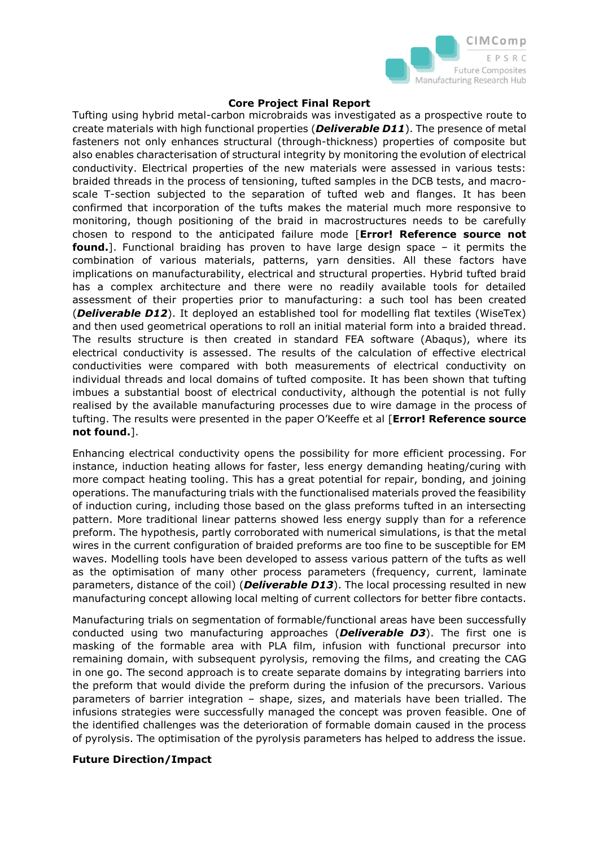

Tufting using hybrid metal-carbon microbraids was investigated as a prospective route to create materials with high functional properties (*Deliverable D11*). The presence of metal fasteners not only enhances structural (through-thickness) properties of composite but also enables characterisation of structural integrity by monitoring the evolution of electrical conductivity. Electrical properties of the new materials were assessed in various tests: braided threads in the process of tensioning, tufted samples in the DCB tests, and macroscale T-section subjected to the separation of tufted web and flanges. It has been confirmed that incorporation of the tufts makes the material much more responsive to monitoring, though positioning of the braid in macrostructures needs to be carefully chosen to respond to the anticipated failure mode [**Error! Reference source not found.**]. Functional braiding has proven to have large design space – it permits the combination of various materials, patterns, yarn densities. All these factors have implications on manufacturability, electrical and structural properties. Hybrid tufted braid has a complex architecture and there were no readily available tools for detailed assessment of their properties prior to manufacturing: a such tool has been created (*Deliverable D12*). It deployed an established tool for modelling flat textiles (WiseTex) and then used geometrical operations to roll an initial material form into a braided thread. The results structure is then created in standard FEA software (Abaqus), where its electrical conductivity is assessed. The results of the calculation of effective electrical conductivities were compared with both measurements of electrical conductivity on individual threads and local domains of tufted composite. It has been shown that tufting imbues a substantial boost of electrical conductivity, although the potential is not fully realised by the available manufacturing processes due to wire damage in the process of tufting. The results were presented in the paper O'Keeffe et al [**Error! Reference source not found.**].

Enhancing electrical conductivity opens the possibility for more efficient processing. For instance, induction heating allows for faster, less energy demanding heating/curing with more compact heating tooling. This has a great potential for repair, bonding, and joining operations. The manufacturing trials with the functionalised materials proved the feasibility of induction curing, including those based on the glass preforms tufted in an intersecting pattern. More traditional linear patterns showed less energy supply than for a reference preform. The hypothesis, partly corroborated with numerical simulations, is that the metal wires in the current configuration of braided preforms are too fine to be susceptible for EM waves. Modelling tools have been developed to assess various pattern of the tufts as well as the optimisation of many other process parameters (frequency, current, laminate parameters, distance of the coil) (*Deliverable D13*). The local processing resulted in new manufacturing concept allowing local melting of current collectors for better fibre contacts.

Manufacturing trials on segmentation of formable/functional areas have been successfully conducted using two manufacturing approaches (*Deliverable D3*). The first one is masking of the formable area with PLA film, infusion with functional precursor into remaining domain, with subsequent pyrolysis, removing the films, and creating the CAG in one go. The second approach is to create separate domains by integrating barriers into the preform that would divide the preform during the infusion of the precursors. Various parameters of barrier integration – shape, sizes, and materials have been trialled. The infusions strategies were successfully managed the concept was proven feasible. One of the identified challenges was the deterioration of formable domain caused in the process of pyrolysis. The optimisation of the pyrolysis parameters has helped to address the issue.

## **Future Direction/Impact**